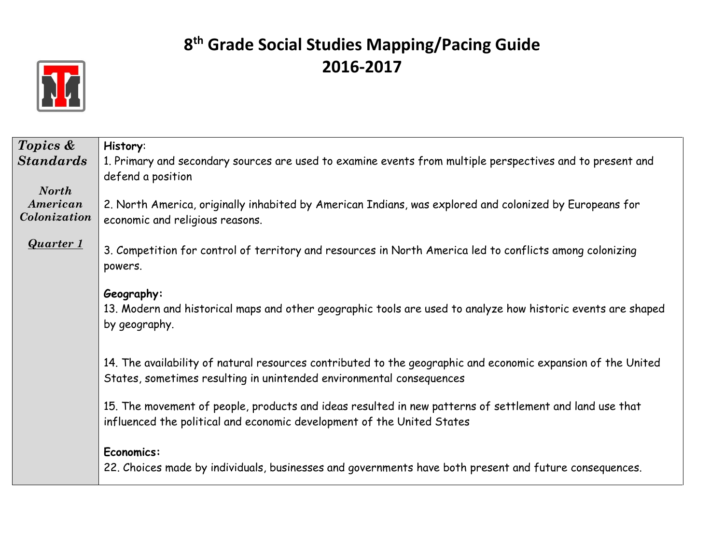

| Topics &         | History:                                                                                                                                                                             |
|------------------|--------------------------------------------------------------------------------------------------------------------------------------------------------------------------------------|
| <b>Standards</b> | 1. Primary and secondary sources are used to examine events from multiple perspectives and to present and                                                                            |
|                  | defend a position                                                                                                                                                                    |
| <b>North</b>     |                                                                                                                                                                                      |
| American         | 2. North America, originally inhabited by American Indians, was explored and colonized by Europeans for                                                                              |
| Colonization     | economic and religious reasons.                                                                                                                                                      |
| <b>Quarter 1</b> | 3. Competition for control of territory and resources in North America led to conflicts among colonizing<br>powers.                                                                  |
|                  | Geography:<br>13. Modern and historical maps and other geographic tools are used to analyze how historic events are shaped<br>by geography.                                          |
|                  | 14. The availability of natural resources contributed to the geographic and economic expansion of the United<br>States, sometimes resulting in unintended environmental consequences |
|                  | 15. The movement of people, products and ideas resulted in new patterns of settlement and land use that<br>influenced the political and economic development of the United States    |
|                  | Economics:<br>22. Choices made by individuals, businesses and governments have both present and future consequences.                                                                 |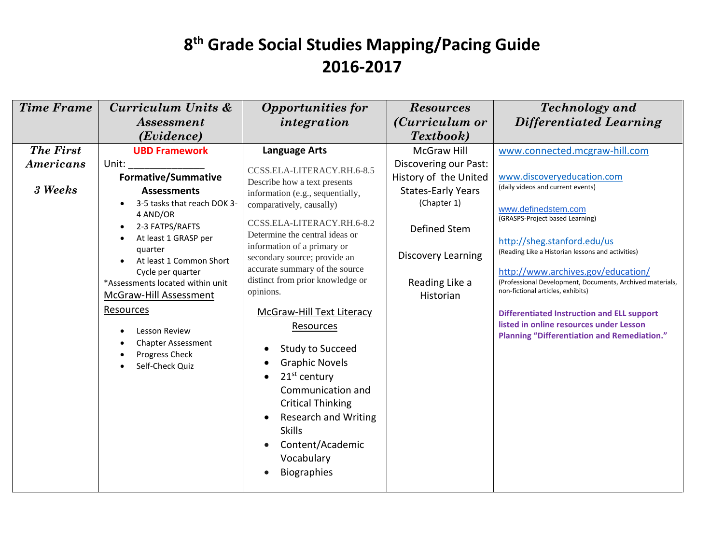| <b>Time Frame</b>    | Curriculum Units &                                                                                                                                                                                                                                                                                                                                                              | <b>Opportunities for</b>                                                                                                                                                                                                                                                                                                                                                                                                                                                                                                                                                                                                                     | <b>Resources</b>                                                                                                                                                       | <b>Technology</b> and                                                                                                                                                                                                                                                                                                                                                                                                                                                                                       |
|----------------------|---------------------------------------------------------------------------------------------------------------------------------------------------------------------------------------------------------------------------------------------------------------------------------------------------------------------------------------------------------------------------------|----------------------------------------------------------------------------------------------------------------------------------------------------------------------------------------------------------------------------------------------------------------------------------------------------------------------------------------------------------------------------------------------------------------------------------------------------------------------------------------------------------------------------------------------------------------------------------------------------------------------------------------------|------------------------------------------------------------------------------------------------------------------------------------------------------------------------|-------------------------------------------------------------------------------------------------------------------------------------------------------------------------------------------------------------------------------------------------------------------------------------------------------------------------------------------------------------------------------------------------------------------------------------------------------------------------------------------------------------|
|                      | <i>Assessment</i>                                                                                                                                                                                                                                                                                                                                                               | integration                                                                                                                                                                                                                                                                                                                                                                                                                                                                                                                                                                                                                                  | (Curriculum or                                                                                                                                                         | <b>Differentiated Learning</b>                                                                                                                                                                                                                                                                                                                                                                                                                                                                              |
|                      | (Evidence)                                                                                                                                                                                                                                                                                                                                                                      |                                                                                                                                                                                                                                                                                                                                                                                                                                                                                                                                                                                                                                              | <i>Textbook</i> )                                                                                                                                                      |                                                                                                                                                                                                                                                                                                                                                                                                                                                                                                             |
| <b>The First</b>     | <b>UBD Framework</b>                                                                                                                                                                                                                                                                                                                                                            | <b>Language Arts</b>                                                                                                                                                                                                                                                                                                                                                                                                                                                                                                                                                                                                                         | <b>McGraw Hill</b>                                                                                                                                                     | www.connected.mcgraw-hill.com                                                                                                                                                                                                                                                                                                                                                                                                                                                                               |
| Americans<br>3 Weeks | Unit:<br><b>Formative/Summative</b><br><b>Assessments</b><br>3-5 tasks that reach DOK 3-<br>4 AND/OR<br>2-3 FATPS/RAFTS<br>At least 1 GRASP per<br>quarter<br>At least 1 Common Short<br>Cycle per quarter<br>*Assessments located within unit<br><b>McGraw-Hill Assessment</b><br>Resources<br>Lesson Review<br><b>Chapter Assessment</b><br>Progress Check<br>Self-Check Quiz | CCSS.ELA-LITERACY.RH.6-8.5<br>Describe how a text presents<br>information (e.g., sequentially,<br>comparatively, causally)<br>CCSS.ELA-LITERACY.RH.6-8.2<br>Determine the central ideas or<br>information of a primary or<br>secondary source; provide an<br>accurate summary of the source<br>distinct from prior knowledge or<br>opinions.<br>McGraw-Hill Text Literacy<br>Resources<br><b>Study to Succeed</b><br><b>Graphic Novels</b><br>21 <sup>st</sup> century<br>$\bullet$<br>Communication and<br><b>Critical Thinking</b><br><b>Research and Writing</b><br><b>Skills</b><br>Content/Academic<br>Vocabulary<br><b>Biographies</b> | Discovering our Past:<br>History of the United<br><b>States-Early Years</b><br>(Chapter 1)<br>Defined Stem<br><b>Discovery Learning</b><br>Reading Like a<br>Historian | www.discoveryeducation.com<br>(daily videos and current events)<br>www.definedstem.com<br>(GRASPS-Project based Learning)<br>http://sheg.stanford.edu/us<br>(Reading Like a Historian lessons and activities)<br>http://www.archives.gov/education/<br>(Professional Development, Documents, Archived materials,<br>non-fictional articles, exhibits)<br><b>Differentiated Instruction and ELL support</b><br>listed in online resources under Lesson<br><b>Planning "Differentiation and Remediation."</b> |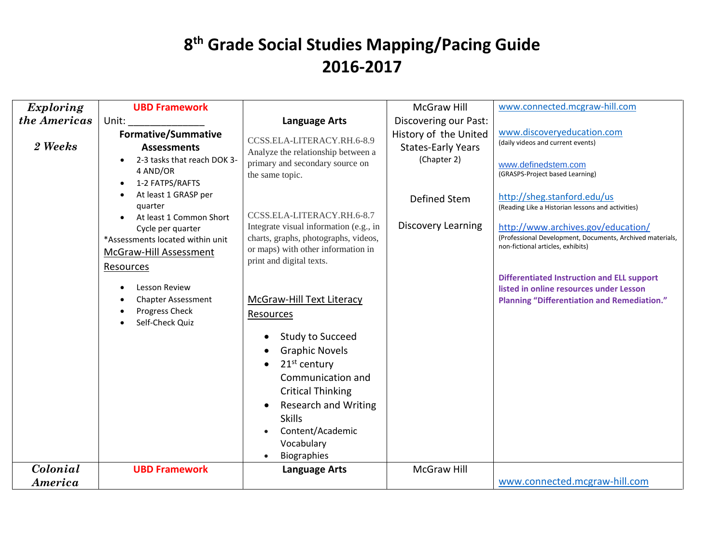| the Americas<br><b>Language Arts</b><br>Discovering our Past:<br>Unit:<br>www.discoveryeducation.com<br><b>Formative/Summative</b><br>History of the United<br>CCSS.ELA-LITERACY.RH.6-8.9<br>(daily videos and current events)<br>2 Weeks<br><b>Assessments</b><br><b>States-Early Years</b><br>Analyze the relationship between a<br>(Chapter 2)<br>2-3 tasks that reach DOK 3-<br>primary and secondary source on<br>www.definedstem.com<br>4 AND/OR<br>(GRASPS-Project based Learning)<br>the same topic.<br>1-2 FATPS/RAFTS<br>At least 1 GRASP per<br>http://sheg.stanford.edu/us<br>Defined Stem<br>quarter<br>(Reading Like a Historian lessons and activities)<br>CCSS.ELA-LITERACY.RH.6-8.7<br>At least 1 Common Short<br><b>Discovery Learning</b><br>Integrate visual information (e.g., in<br>http://www.archives.gov/education/<br>Cycle per quarter<br>charts, graphs, photographs, videos,<br>*Assessments located within unit<br>non-fictional articles, exhibits)<br>or maps) with other information in<br><b>McGraw-Hill Assessment</b><br>print and digital texts.<br>Resources<br><b>Differentiated Instruction and ELL support</b><br>Lesson Review<br>listed in online resources under Lesson<br>McGraw-Hill Text Literacy<br><b>Chapter Assessment</b><br><b>Planning "Differentiation and Remediation."</b><br>Progress Check<br>Resources<br>Self-Check Quiz<br><b>Study to Succeed</b><br><b>Graphic Novels</b><br>$21st$ century<br>$\bullet$<br>Communication and | Exploring | <b>UBD Framework</b> |                          | McGraw Hill | www.connected.mcgraw-hill.com                             |
|-----------------------------------------------------------------------------------------------------------------------------------------------------------------------------------------------------------------------------------------------------------------------------------------------------------------------------------------------------------------------------------------------------------------------------------------------------------------------------------------------------------------------------------------------------------------------------------------------------------------------------------------------------------------------------------------------------------------------------------------------------------------------------------------------------------------------------------------------------------------------------------------------------------------------------------------------------------------------------------------------------------------------------------------------------------------------------------------------------------------------------------------------------------------------------------------------------------------------------------------------------------------------------------------------------------------------------------------------------------------------------------------------------------------------------------------------------------------------------------------------|-----------|----------------------|--------------------------|-------------|-----------------------------------------------------------|
|                                                                                                                                                                                                                                                                                                                                                                                                                                                                                                                                                                                                                                                                                                                                                                                                                                                                                                                                                                                                                                                                                                                                                                                                                                                                                                                                                                                                                                                                                               |           |                      |                          |             |                                                           |
|                                                                                                                                                                                                                                                                                                                                                                                                                                                                                                                                                                                                                                                                                                                                                                                                                                                                                                                                                                                                                                                                                                                                                                                                                                                                                                                                                                                                                                                                                               |           |                      |                          |             |                                                           |
|                                                                                                                                                                                                                                                                                                                                                                                                                                                                                                                                                                                                                                                                                                                                                                                                                                                                                                                                                                                                                                                                                                                                                                                                                                                                                                                                                                                                                                                                                               |           |                      |                          |             |                                                           |
|                                                                                                                                                                                                                                                                                                                                                                                                                                                                                                                                                                                                                                                                                                                                                                                                                                                                                                                                                                                                                                                                                                                                                                                                                                                                                                                                                                                                                                                                                               |           |                      |                          |             | (Professional Development, Documents, Archived materials, |
| <b>Research and Writing</b><br>$\bullet$<br><b>Skills</b><br>Content/Academic<br>Vocabulary<br><b>Biographies</b>                                                                                                                                                                                                                                                                                                                                                                                                                                                                                                                                                                                                                                                                                                                                                                                                                                                                                                                                                                                                                                                                                                                                                                                                                                                                                                                                                                             |           |                      | <b>Critical Thinking</b> |             |                                                           |
| Colonial<br><b>UBD Framework</b><br>McGraw Hill<br><b>Language Arts</b><br>www.connected.mcgraw-hill.com<br>America                                                                                                                                                                                                                                                                                                                                                                                                                                                                                                                                                                                                                                                                                                                                                                                                                                                                                                                                                                                                                                                                                                                                                                                                                                                                                                                                                                           |           |                      |                          |             |                                                           |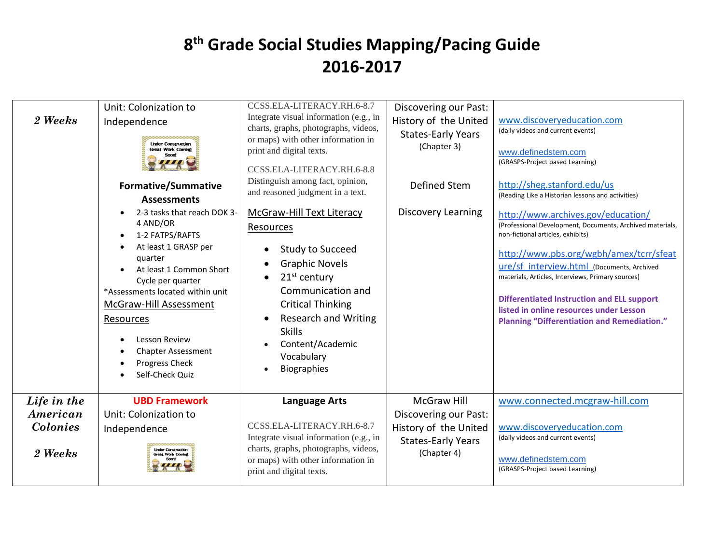| 2 Weeks                                               | Unit: Colonization to<br>Independence<br><b>Under Construction</b><br><b>Great Work Coming</b><br>Soonl<br><b>Formative/Summative</b><br><b>Assessments</b><br>2-3 tasks that reach DOK 3-<br>4 AND/OR<br>1-2 FATPS/RAFTS<br>At least 1 GRASP per<br>quarter<br>At least 1 Common Short<br>Cycle per quarter<br>*Assessments located within unit<br><b>McGraw-Hill Assessment</b><br>Resources<br>Lesson Review<br><b>Chapter Assessment</b><br>Progress Check<br>Self-Check Quiz | CCSS.ELA-LITERACY.RH.6-8.7<br>Integrate visual information (e.g., in<br>charts, graphs, photographs, videos,<br>or maps) with other information in<br>print and digital texts.<br>CCSS.ELA-LITERACY.RH.6-8.8<br>Distinguish among fact, opinion,<br>and reasoned judgment in a text.<br><b>McGraw-Hill Text Literacy</b><br>Resources<br><b>Study to Succeed</b><br><b>Graphic Novels</b><br>$21st$ century<br>Communication and<br><b>Critical Thinking</b><br><b>Research and Writing</b><br><b>Skills</b><br>Content/Academic<br>Vocabulary<br><b>Biographies</b> | Discovering our Past:<br>History of the United<br><b>States-Early Years</b><br>(Chapter 3)<br><b>Defined Stem</b><br><b>Discovery Learning</b> | www.discoveryeducation.com<br>(daily videos and current events)<br>www.definedstem.com<br>(GRASPS-Project based Learning)<br>http://sheg.stanford.edu/us<br>(Reading Like a Historian lessons and activities)<br>http://www.archives.gov/education/<br>(Professional Development, Documents, Archived materials,<br>non-fictional articles, exhibits)<br>http://www.pbs.org/wgbh/amex/tcrr/sfeat<br>ure/sf interview.html (Documents, Archived<br>materials, Articles, Interviews, Primary sources)<br><b>Differentiated Instruction and ELL support</b><br>listed in online resources under Lesson<br><b>Planning "Differentiation and Remediation."</b> |
|-------------------------------------------------------|-----------------------------------------------------------------------------------------------------------------------------------------------------------------------------------------------------------------------------------------------------------------------------------------------------------------------------------------------------------------------------------------------------------------------------------------------------------------------------------|----------------------------------------------------------------------------------------------------------------------------------------------------------------------------------------------------------------------------------------------------------------------------------------------------------------------------------------------------------------------------------------------------------------------------------------------------------------------------------------------------------------------------------------------------------------------|------------------------------------------------------------------------------------------------------------------------------------------------|-----------------------------------------------------------------------------------------------------------------------------------------------------------------------------------------------------------------------------------------------------------------------------------------------------------------------------------------------------------------------------------------------------------------------------------------------------------------------------------------------------------------------------------------------------------------------------------------------------------------------------------------------------------|
| Life in the<br>American<br><b>Colonies</b><br>2 Weeks | <b>UBD Framework</b><br>Unit: Colonization to<br>Independence<br><b>Linder Construction</b><br>Great Work Comind                                                                                                                                                                                                                                                                                                                                                                  | <b>Language Arts</b><br>CCSS.ELA-LITERACY.RH.6-8.7<br>Integrate visual information (e.g., in<br>charts, graphs, photographs, videos,<br>or maps) with other information in<br>print and digital texts.                                                                                                                                                                                                                                                                                                                                                               | <b>McGraw Hill</b><br>Discovering our Past:<br>History of the United<br><b>States-Early Years</b><br>(Chapter 4)                               | www.connected.mcgraw-hill.com<br>www.discoveryeducation.com<br>(daily videos and current events)<br>www.definedstem.com<br>(GRASPS-Project based Learning)                                                                                                                                                                                                                                                                                                                                                                                                                                                                                                |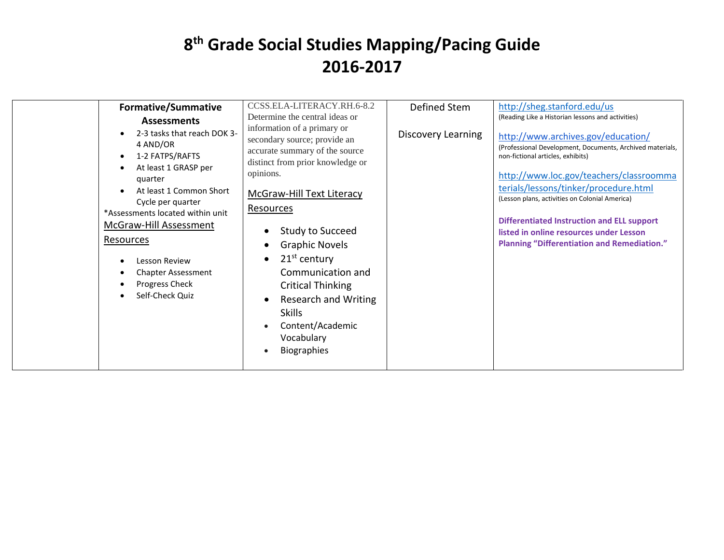| <b>Formative/Summative</b><br><b>Assessments</b><br>2-3 tasks that reach DOK 3-<br>4 AND/OR<br>1-2 FATPS/RAFTS<br>At least 1 GRASP per<br>quarter<br>At least 1 Common Short<br>Cycle per quarter<br>*Assessments located within unit<br>McGraw-Hill Assessment<br><b>Resources</b><br>Lesson Review<br><b>Chapter Assessment</b><br>Progress Check<br>Self-Check Quiz | CCSS.ELA-LITERACY.RH.6-8.2<br>Determine the central ideas or<br>information of a primary or<br>secondary source; provide an<br>accurate summary of the source<br>distinct from prior knowledge or<br>opinions.<br><b>McGraw-Hill Text Literacy</b><br><b>Resources</b><br>Study to Succeed<br>$\bullet$<br><b>Graphic Novels</b><br>$\bullet$<br>21 <sup>st</sup> century<br>$\bullet$<br>Communication and<br><b>Critical Thinking</b><br><b>Research and Writing</b><br>$\bullet$<br><b>Skills</b> | Defined Stem<br><b>Discovery Learning</b> | http://sheg.stanford.edu/us<br>(Reading Like a Historian lessons and activities)<br>http://www.archives.gov/education/<br>(Professional Development, Documents, Archived materials,<br>non-fictional articles, exhibits)<br>http://www.loc.gov/teachers/classroomma<br>terials/lessons/tinker/procedure.html<br>(Lesson plans, activities on Colonial America)<br><b>Differentiated Instruction and ELL support</b><br>listed in online resources under Lesson<br><b>Planning "Differentiation and Remediation."</b> |
|------------------------------------------------------------------------------------------------------------------------------------------------------------------------------------------------------------------------------------------------------------------------------------------------------------------------------------------------------------------------|------------------------------------------------------------------------------------------------------------------------------------------------------------------------------------------------------------------------------------------------------------------------------------------------------------------------------------------------------------------------------------------------------------------------------------------------------------------------------------------------------|-------------------------------------------|----------------------------------------------------------------------------------------------------------------------------------------------------------------------------------------------------------------------------------------------------------------------------------------------------------------------------------------------------------------------------------------------------------------------------------------------------------------------------------------------------------------------|
|------------------------------------------------------------------------------------------------------------------------------------------------------------------------------------------------------------------------------------------------------------------------------------------------------------------------------------------------------------------------|------------------------------------------------------------------------------------------------------------------------------------------------------------------------------------------------------------------------------------------------------------------------------------------------------------------------------------------------------------------------------------------------------------------------------------------------------------------------------------------------------|-------------------------------------------|----------------------------------------------------------------------------------------------------------------------------------------------------------------------------------------------------------------------------------------------------------------------------------------------------------------------------------------------------------------------------------------------------------------------------------------------------------------------------------------------------------------------|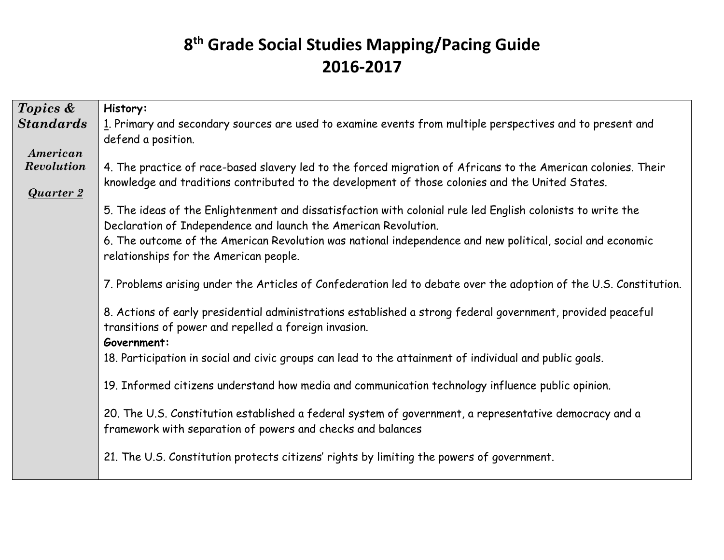| Topics &         | History:                                                                                                          |
|------------------|-------------------------------------------------------------------------------------------------------------------|
| <b>Standards</b> | 1. Primary and secondary sources are used to examine events from multiple perspectives and to present and         |
|                  | defend a position.                                                                                                |
| American         |                                                                                                                   |
|                  |                                                                                                                   |
| Revolution       | 4. The practice of race-based slavery led to the forced migration of Africans to the American colonies. Their     |
|                  | knowledge and traditions contributed to the development of those colonies and the United States.                  |
| <b>Quarter 2</b> |                                                                                                                   |
|                  | 5. The ideas of the Enlightenment and dissatisfaction with colonial rule led English colonists to write the       |
|                  |                                                                                                                   |
|                  | Declaration of Independence and launch the American Revolution.                                                   |
|                  | 6. The outcome of the American Revolution was national independence and new political, social and economic        |
|                  | relationships for the American people.                                                                            |
|                  |                                                                                                                   |
|                  | 7. Problems arising under the Articles of Confederation led to debate over the adoption of the U.S. Constitution. |
|                  |                                                                                                                   |
|                  |                                                                                                                   |
|                  | 8. Actions of early presidential administrations established a strong federal government, provided peaceful       |
|                  | transitions of power and repelled a foreign invasion.                                                             |
|                  | Government:                                                                                                       |
|                  |                                                                                                                   |
|                  | 18. Participation in social and civic groups can lead to the attainment of individual and public goals.           |
|                  |                                                                                                                   |
|                  | 19. Informed citizens understand how media and communication technology influence public opinion.                 |
|                  |                                                                                                                   |
|                  | 20. The U.S. Constitution established a federal system of government, a representative democracy and a            |
|                  | framework with separation of powers and checks and balances                                                       |
|                  |                                                                                                                   |
|                  |                                                                                                                   |
|                  | 21. The U.S. Constitution protects citizens' rights by limiting the powers of government.                         |
|                  |                                                                                                                   |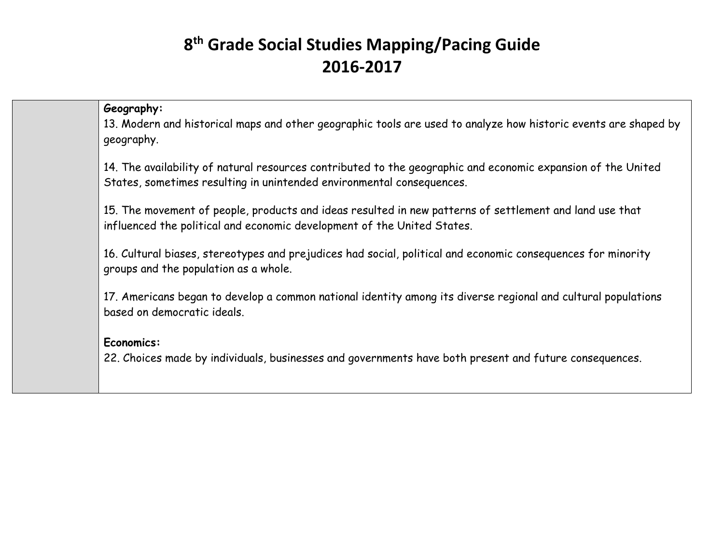### **Geography:**

13. Modern and historical maps and other geographic tools are used to analyze how historic events are shaped by geography.

14. The availability of natural resources contributed to the geographic and economic expansion of the United States, sometimes resulting in unintended environmental consequences.

15. The movement of people, products and ideas resulted in new patterns of settlement and land use that influenced the political and economic development of the United States.

16. Cultural biases, stereotypes and prejudices had social, political and economic consequences for minority groups and the population as a whole.

17. Americans began to develop a common national identity among its diverse regional and cultural populations based on democratic ideals.

### **Economics:**

22. Choices made by individuals, businesses and governments have both present and future consequences.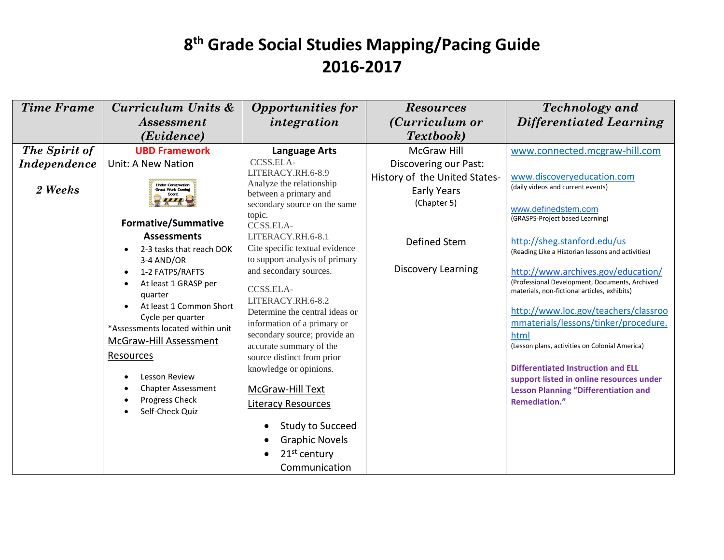| <b>Time Frame</b>       | <b>Curriculum Units &amp;</b>                                                                                                                                                                                                                                                                                                                                                                                                                                     | <b>Opportunities for</b>                                                                                                                                                                                                                                                                                                                                                                                                                                                                                                             | <b>Resources</b>                                                                                                                                | <b>Technology</b> and                                                                                                                                                                                                                                                                                                                                                                                                                                                                                                                                                                                                                                    |
|-------------------------|-------------------------------------------------------------------------------------------------------------------------------------------------------------------------------------------------------------------------------------------------------------------------------------------------------------------------------------------------------------------------------------------------------------------------------------------------------------------|--------------------------------------------------------------------------------------------------------------------------------------------------------------------------------------------------------------------------------------------------------------------------------------------------------------------------------------------------------------------------------------------------------------------------------------------------------------------------------------------------------------------------------------|-------------------------------------------------------------------------------------------------------------------------------------------------|----------------------------------------------------------------------------------------------------------------------------------------------------------------------------------------------------------------------------------------------------------------------------------------------------------------------------------------------------------------------------------------------------------------------------------------------------------------------------------------------------------------------------------------------------------------------------------------------------------------------------------------------------------|
|                         | <i>Assessment</i>                                                                                                                                                                                                                                                                                                                                                                                                                                                 | integration                                                                                                                                                                                                                                                                                                                                                                                                                                                                                                                          | ( <i>Curriculum or</i>                                                                                                                          | Differentiated Learning                                                                                                                                                                                                                                                                                                                                                                                                                                                                                                                                                                                                                                  |
|                         | (Evidence)                                                                                                                                                                                                                                                                                                                                                                                                                                                        |                                                                                                                                                                                                                                                                                                                                                                                                                                                                                                                                      | Textbook)                                                                                                                                       |                                                                                                                                                                                                                                                                                                                                                                                                                                                                                                                                                                                                                                                          |
| The Spirit of           | <b>UBD Framework</b>                                                                                                                                                                                                                                                                                                                                                                                                                                              | <b>Language Arts</b>                                                                                                                                                                                                                                                                                                                                                                                                                                                                                                                 | <b>McGraw Hill</b>                                                                                                                              | www.connected.mcgraw-hill.com                                                                                                                                                                                                                                                                                                                                                                                                                                                                                                                                                                                                                            |
| Independence<br>2 Weeks | Unit: A New Nation<br><b>Under Construction</b><br><b>Great Work Coming</b><br><b>Formative/Summative</b><br><b>Assessments</b><br>2-3 tasks that reach DOK<br>3-4 AND/OR<br>1-2 FATPS/RAFTS<br>$\bullet$<br>At least 1 GRASP per<br>quarter<br>At least 1 Common Short<br>Cycle per quarter<br>*Assessments located within unit<br>McGraw-Hill Assessment<br><b>Resources</b><br>Lesson Review<br><b>Chapter Assessment</b><br>Progress Check<br>Self-Check Quiz | CCSS.ELA-<br>LITERACY.RH.6-8.9<br>Analyze the relationship<br>between a primary and<br>secondary source on the same<br>topic.<br>CCSS.ELA-<br>LITERACY.RH.6-8.1<br>Cite specific textual evidence<br>to support analysis of primary<br>and secondary sources.<br>CCSS.ELA-<br>LITERACY.RH.6-8.2<br>Determine the central ideas or<br>information of a primary or<br>secondary source; provide an<br>accurate summary of the<br>source distinct from prior<br>knowledge or opinions.<br>McGraw-Hill Text<br><b>Literacy Resources</b> | Discovering our Past:<br>History of the United States-<br><b>Early Years</b><br>(Chapter 5)<br><b>Defined Stem</b><br><b>Discovery Learning</b> | www.discoveryeducation.com<br>(daily videos and current events)<br>www.definedstem.com<br>(GRASPS-Project based Learning)<br>http://sheg.stanford.edu/us<br>(Reading Like a Historian lessons and activities)<br>http://www.archives.gov/education/<br>(Professional Development, Documents, Archived<br>materials, non-fictional articles, exhibits)<br>http://www.loc.gov/teachers/classroo<br>mmaterials/lessons/tinker/procedure.<br>html<br>(Lesson plans, activities on Colonial America)<br><b>Differentiated Instruction and ELL</b><br>support listed in online resources under<br><b>Lesson Planning "Differentiation and</b><br>Remediation." |
|                         |                                                                                                                                                                                                                                                                                                                                                                                                                                                                   | <b>Study to Succeed</b><br><b>Graphic Novels</b><br>21 <sup>st</sup> century                                                                                                                                                                                                                                                                                                                                                                                                                                                         |                                                                                                                                                 |                                                                                                                                                                                                                                                                                                                                                                                                                                                                                                                                                                                                                                                          |
|                         |                                                                                                                                                                                                                                                                                                                                                                                                                                                                   | Communication                                                                                                                                                                                                                                                                                                                                                                                                                                                                                                                        |                                                                                                                                                 |                                                                                                                                                                                                                                                                                                                                                                                                                                                                                                                                                                                                                                                          |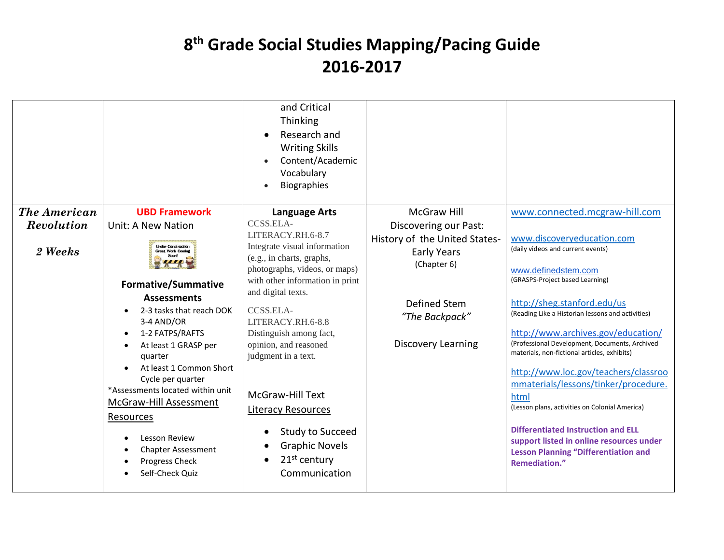|                     |                                                                                                                                                                                                                                                                                                                                               | and Critical<br>Thinking<br>Research and<br>$\bullet$<br><b>Writing Skills</b><br>Content/Academic<br>Vocabulary<br><b>Biographies</b><br>$\bullet$                                                                                                                        |                                                                    |                                                                                                                                                                                                                                                                                                                                                                                                                                                                                                                      |
|---------------------|-----------------------------------------------------------------------------------------------------------------------------------------------------------------------------------------------------------------------------------------------------------------------------------------------------------------------------------------------|----------------------------------------------------------------------------------------------------------------------------------------------------------------------------------------------------------------------------------------------------------------------------|--------------------------------------------------------------------|----------------------------------------------------------------------------------------------------------------------------------------------------------------------------------------------------------------------------------------------------------------------------------------------------------------------------------------------------------------------------------------------------------------------------------------------------------------------------------------------------------------------|
| <b>The American</b> | <b>UBD Framework</b>                                                                                                                                                                                                                                                                                                                          | <b>Language Arts</b>                                                                                                                                                                                                                                                       | <b>McGraw Hill</b>                                                 | www.connected.mcgraw-hill.com                                                                                                                                                                                                                                                                                                                                                                                                                                                                                        |
| <b>Revolution</b>   | Unit: A New Nation                                                                                                                                                                                                                                                                                                                            | CCSS.ELA-                                                                                                                                                                                                                                                                  | Discovering our Past:                                              |                                                                                                                                                                                                                                                                                                                                                                                                                                                                                                                      |
| 2 Weeks             | <b>Under Construction</b><br><b>Great Work Coming</b><br><b>Formative/Summative</b>                                                                                                                                                                                                                                                           | LITERACY.RH.6-8.7<br>Integrate visual information<br>(e.g., in charts, graphs,<br>photographs, videos, or maps)<br>with other information in print                                                                                                                         | History of the United States-<br><b>Early Years</b><br>(Chapter 6) | www.discoveryeducation.com<br>(daily videos and current events)<br>www.definedstem.com<br>(GRASPS-Project based Learning)                                                                                                                                                                                                                                                                                                                                                                                            |
|                     | <b>Assessments</b><br>2-3 tasks that reach DOK<br>3-4 AND/OR<br>1-2 FATPS/RAFTS<br>$\bullet$<br>At least 1 GRASP per<br>quarter<br>At least 1 Common Short<br>Cycle per quarter<br>*Assessments located within unit<br>McGraw-Hill Assessment<br>Resources<br>Lesson Review<br><b>Chapter Assessment</b><br>Progress Check<br>Self-Check Quiz | and digital texts.<br>CCSS.ELA-<br>LITERACY.RH.6-8.8<br>Distinguish among fact,<br>opinion, and reasoned<br>judgment in a text.<br>McGraw-Hill Text<br><b>Literacy Resources</b><br>Study to Succeed<br><b>Graphic Novels</b><br>21 <sup>st</sup> century<br>Communication | Defined Stem<br>"The Backpack"<br><b>Discovery Learning</b>        | http://sheg.stanford.edu/us<br>(Reading Like a Historian lessons and activities)<br>http://www.archives.gov/education/<br>(Professional Development, Documents, Archived<br>materials, non-fictional articles, exhibits)<br>http://www.loc.gov/teachers/classroo<br>mmaterials/lessons/tinker/procedure.<br>html<br>(Lesson plans, activities on Colonial America)<br>Differentiated Instruction and ELL<br>support listed in online resources under<br><b>Lesson Planning "Differentiation and</b><br>Remediation." |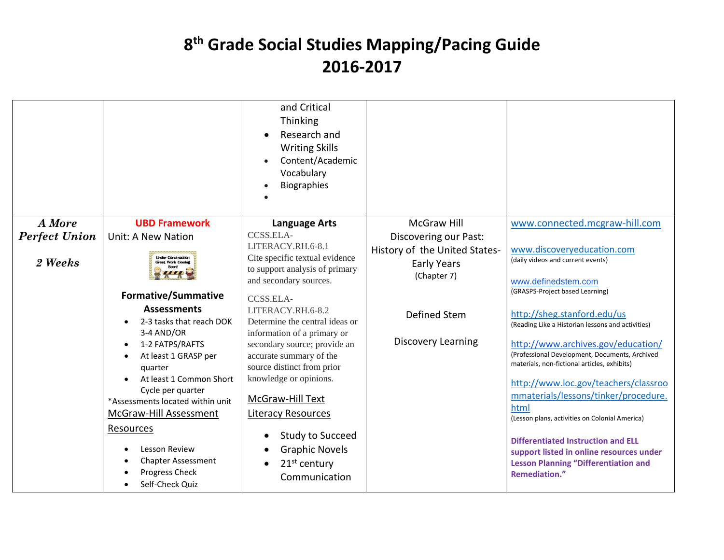|                      |                                                       | and Critical<br>Thinking<br>Research and<br><b>Writing Skills</b><br>Content/Academic<br>Vocabulary<br>Biographies<br>$\bullet$ |                               |                                                                 |
|----------------------|-------------------------------------------------------|---------------------------------------------------------------------------------------------------------------------------------|-------------------------------|-----------------------------------------------------------------|
| A More               | <b>UBD Framework</b>                                  | <b>Language Arts</b>                                                                                                            | <b>McGraw Hill</b>            | www.connected.mcgraw-hill.com                                   |
| <b>Perfect Union</b> | <b>Unit: A New Nation</b>                             | CCSS.ELA-<br>LITERACY.RH.6-8.1                                                                                                  | Discovering our Past:         |                                                                 |
|                      | <b>Linder Construction</b>                            | Cite specific textual evidence                                                                                                  | History of the United States- | www.discoveryeducation.com<br>(daily videos and current events) |
| 2 Weeks              | <b>Great Work Coming</b>                              | to support analysis of primary                                                                                                  | <b>Early Years</b>            |                                                                 |
|                      |                                                       | and secondary sources.                                                                                                          | (Chapter 7)                   | www.definedstem.com                                             |
|                      | <b>Formative/Summative</b>                            | CCSS.ELA-                                                                                                                       |                               | (GRASPS-Project based Learning)                                 |
|                      | <b>Assessments</b>                                    | LITERACY.RH.6-8.2                                                                                                               | <b>Defined Stem</b>           | http://sheg.stanford.edu/us                                     |
|                      | 2-3 tasks that reach DOK                              | Determine the central ideas or                                                                                                  |                               | (Reading Like a Historian lessons and activities)               |
|                      | 3-4 AND/OR<br>1-2 FATPS/RAFTS                         | information of a primary or<br>secondary source; provide an                                                                     | <b>Discovery Learning</b>     | http://www.archives.gov/education/                              |
|                      | At least 1 GRASP per                                  | accurate summary of the                                                                                                         |                               | (Professional Development, Documents, Archived                  |
|                      | quarter                                               | source distinct from prior                                                                                                      |                               | materials, non-fictional articles, exhibits)                    |
|                      | At least 1 Common Short                               | knowledge or opinions.                                                                                                          |                               | http://www.loc.gov/teachers/classroo                            |
|                      | Cycle per quarter<br>*Assessments located within unit | McGraw-Hill Text                                                                                                                |                               | mmaterials/lessons/tinker/procedure.                            |
|                      | McGraw-Hill Assessment                                | Literacy Resources                                                                                                              |                               | html                                                            |
|                      | Resources                                             |                                                                                                                                 |                               | (Lesson plans, activities on Colonial America)                  |
|                      |                                                       | Study to Succeed                                                                                                                |                               | <b>Differentiated Instruction and ELL</b>                       |
|                      | Lesson Review                                         | <b>Graphic Novels</b>                                                                                                           |                               | support listed in online resources under                        |
|                      | <b>Chapter Assessment</b><br>Progress Check           | 21 <sup>st</sup> century<br>$\bullet$                                                                                           |                               | <b>Lesson Planning "Differentiation and</b><br>Remediation."    |
|                      | Self-Check Quiz                                       | Communication                                                                                                                   |                               |                                                                 |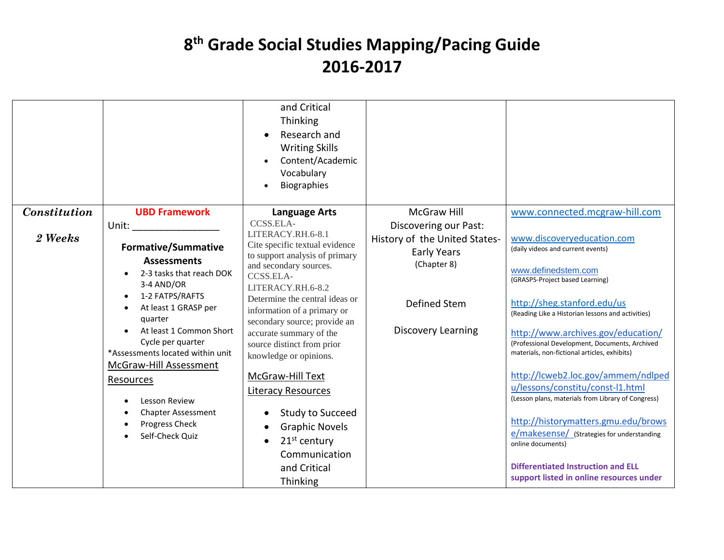|              |                                                                                                                                                                                                                                                                                                                                                                                         | and Critical<br>Thinking<br>Research and<br><b>Writing Skills</b><br>Content/Academic<br>Vocabulary<br>Biographies                                                                                                                                                                                                                                                                                                                                                           |                                                                                                                 |                                                                                                                                                                                                                                                                                                                                                                                                                                                                                                                                                                                                 |
|--------------|-----------------------------------------------------------------------------------------------------------------------------------------------------------------------------------------------------------------------------------------------------------------------------------------------------------------------------------------------------------------------------------------|------------------------------------------------------------------------------------------------------------------------------------------------------------------------------------------------------------------------------------------------------------------------------------------------------------------------------------------------------------------------------------------------------------------------------------------------------------------------------|-----------------------------------------------------------------------------------------------------------------|-------------------------------------------------------------------------------------------------------------------------------------------------------------------------------------------------------------------------------------------------------------------------------------------------------------------------------------------------------------------------------------------------------------------------------------------------------------------------------------------------------------------------------------------------------------------------------------------------|
| Constitution | <b>UBD Framework</b><br>Unit:                                                                                                                                                                                                                                                                                                                                                           | <b>Language Arts</b><br>CCSS.ELA-                                                                                                                                                                                                                                                                                                                                                                                                                                            | <b>McGraw Hill</b><br>Discovering our Past:                                                                     | www.connected.mcgraw-hill.com                                                                                                                                                                                                                                                                                                                                                                                                                                                                                                                                                                   |
| 2 Weeks      | <b>Formative/Summative</b><br><b>Assessments</b><br>2-3 tasks that reach DOK<br>3-4 AND/OR<br>1-2 FATPS/RAFTS<br>$\bullet$<br>At least 1 GRASP per<br>٠<br>quarter<br>At least 1 Common Short<br>Cycle per quarter<br>*Assessments located within unit<br>McGraw-Hill Assessment<br><u>Resources</u><br>Lesson Review<br><b>Chapter Assessment</b><br>Progress Check<br>Self-Check Quiz | LITERACY.RH.6-8.1<br>Cite specific textual evidence<br>to support analysis of primary<br>and secondary sources.<br>CCSS.ELA-<br>LITERACY.RH.6-8.2<br>Determine the central ideas or<br>information of a primary or<br>secondary source; provide an<br>accurate summary of the<br>source distinct from prior<br>knowledge or opinions.<br>McGraw-Hill Text<br>Literacy Resources<br><b>Study to Succeed</b><br><b>Graphic Novels</b><br>21 <sup>st</sup> century<br>$\bullet$ | History of the United States-<br><b>Early Years</b><br>(Chapter 8)<br>Defined Stem<br><b>Discovery Learning</b> | www.discoveryeducation.com<br>(daily videos and current events)<br>www.definedstem.com<br>(GRASPS-Project based Learning)<br>http://sheg.stanford.edu/us<br>(Reading Like a Historian lessons and activities)<br>http://www.archives.gov/education/<br>(Professional Development, Documents, Archived<br>materials, non-fictional articles, exhibits)<br>http://lcweb2.loc.gov/ammem/ndlped<br>u/lessons/constitu/const-l1.html<br>(Lesson plans, materials from Library of Congress)<br>http://historymatters.gmu.edu/brows<br>e/makesense/ (Strategies for understanding<br>online documents) |
|              |                                                                                                                                                                                                                                                                                                                                                                                         | Communication<br>and Critical<br>Thinking                                                                                                                                                                                                                                                                                                                                                                                                                                    |                                                                                                                 | <b>Differentiated Instruction and ELL</b><br>support listed in online resources under                                                                                                                                                                                                                                                                                                                                                                                                                                                                                                           |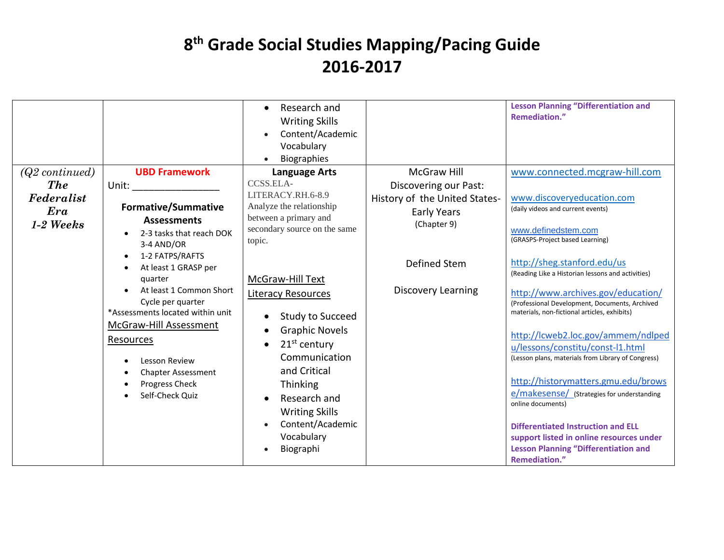|                                                                   |                                                                                                                                                                                                                                                                                                                                                                                                                       | Research and<br>$\bullet$<br><b>Writing Skills</b><br>Content/Academic<br>$\bullet$<br>Vocabulary<br><b>Biographies</b>                                                                                                                                                                                                                                                                                                                                        |                                                                                                                                                                | <b>Lesson Planning "Differentiation and</b><br>Remediation."                                                                                                                                                                                                                                                                                                                                                                                                                                                                                                                                                                                                                                                                                                             |
|-------------------------------------------------------------------|-----------------------------------------------------------------------------------------------------------------------------------------------------------------------------------------------------------------------------------------------------------------------------------------------------------------------------------------------------------------------------------------------------------------------|----------------------------------------------------------------------------------------------------------------------------------------------------------------------------------------------------------------------------------------------------------------------------------------------------------------------------------------------------------------------------------------------------------------------------------------------------------------|----------------------------------------------------------------------------------------------------------------------------------------------------------------|--------------------------------------------------------------------------------------------------------------------------------------------------------------------------------------------------------------------------------------------------------------------------------------------------------------------------------------------------------------------------------------------------------------------------------------------------------------------------------------------------------------------------------------------------------------------------------------------------------------------------------------------------------------------------------------------------------------------------------------------------------------------------|
| $(Q2\,continued)$<br><b>The</b><br>Federalist<br>Era<br>1-2 Weeks | <b>UBD Framework</b><br>Unit: ______________<br><b>Formative/Summative</b><br><b>Assessments</b><br>2-3 tasks that reach DOK<br>3-4 AND/OR<br>1-2 FATPS/RAFTS<br>At least 1 GRASP per<br>quarter<br>At least 1 Common Short<br>Cycle per quarter<br>*Assessments located within unit<br><b>McGraw-Hill Assessment</b><br>Resources<br>Lesson Review<br><b>Chapter Assessment</b><br>Progress Check<br>Self-Check Quiz | <b>Language Arts</b><br>CCSS.ELA-<br>LITERACY.RH.6-8.9<br>Analyze the relationship<br>between a primary and<br>secondary source on the same<br>topic.<br>McGraw-Hill Text<br><b>Literacy Resources</b><br>Study to Succeed<br>$\bullet$<br><b>Graphic Novels</b><br>$\bullet$<br>$21st$ century<br>$\bullet$<br>Communication<br>and Critical<br>Thinking<br>Research and<br>$\bullet$<br><b>Writing Skills</b><br>Content/Academic<br>Vocabulary<br>Biographi | <b>McGraw Hill</b><br>Discovering our Past:<br>History of the United States-<br><b>Early Years</b><br>(Chapter 9)<br>Defined Stem<br><b>Discovery Learning</b> | www.connected.mcgraw-hill.com<br>www.discoveryeducation.com<br>(daily videos and current events)<br>www.definedstem.com<br>(GRASPS-Project based Learning)<br>http://sheg.stanford.edu/us<br>(Reading Like a Historian lessons and activities)<br>http://www.archives.gov/education/<br>(Professional Development, Documents, Archived<br>materials, non-fictional articles, exhibits)<br>http://lcweb2.loc.gov/ammem/ndlped<br>u/lessons/constitu/const-l1.html<br>(Lesson plans, materials from Library of Congress)<br>http://historymatters.gmu.edu/brows<br>e/makesense/ (Strategies for understanding<br>online documents)<br><b>Differentiated Instruction and ELL</b><br>support listed in online resources under<br><b>Lesson Planning "Differentiation and</b> |
|                                                                   |                                                                                                                                                                                                                                                                                                                                                                                                                       |                                                                                                                                                                                                                                                                                                                                                                                                                                                                |                                                                                                                                                                | Remediation."                                                                                                                                                                                                                                                                                                                                                                                                                                                                                                                                                                                                                                                                                                                                                            |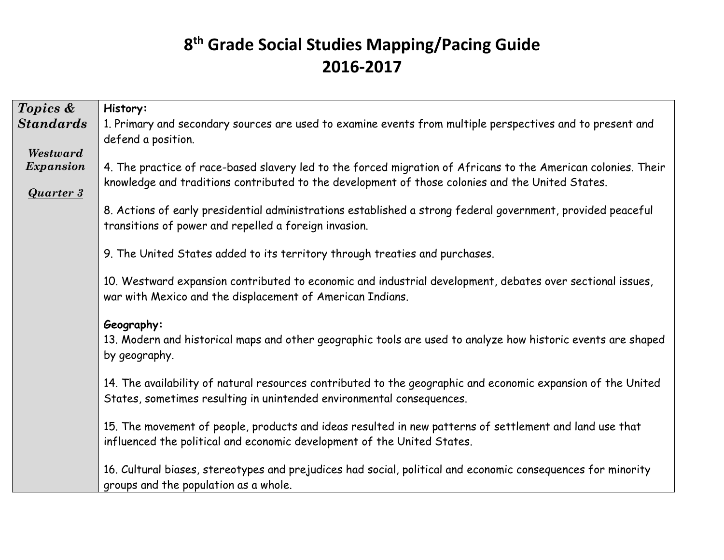| Topics &         | History:                                                                                                                                                                              |
|------------------|---------------------------------------------------------------------------------------------------------------------------------------------------------------------------------------|
| <b>Standards</b> | 1. Primary and secondary sources are used to examine events from multiple perspectives and to present and                                                                             |
|                  | defend a position.                                                                                                                                                                    |
| Westward         |                                                                                                                                                                                       |
| Expansion        | 4. The practice of race-based slavery led to the forced migration of Africans to the American colonies. Their                                                                         |
| <b>Quarter 3</b> | knowledge and traditions contributed to the development of those colonies and the United States.                                                                                      |
|                  | 8. Actions of early presidential administrations established a strong federal government, provided peaceful<br>transitions of power and repelled a foreign invasion.                  |
|                  | 9. The United States added to its territory through treaties and purchases.                                                                                                           |
|                  | 10. Westward expansion contributed to economic and industrial development, debates over sectional issues,<br>war with Mexico and the displacement of American Indians.                |
|                  | Geography:<br>13. Modern and historical maps and other geographic tools are used to analyze how historic events are shaped<br>by geography.                                           |
|                  | 14. The availability of natural resources contributed to the geographic and economic expansion of the United<br>States, sometimes resulting in unintended environmental consequences. |
|                  | 15. The movement of people, products and ideas resulted in new patterns of settlement and land use that<br>influenced the political and economic development of the United States.    |
|                  | 16. Cultural biases, stereotypes and prejudices had social, political and economic consequences for minority<br>groups and the population as a whole.                                 |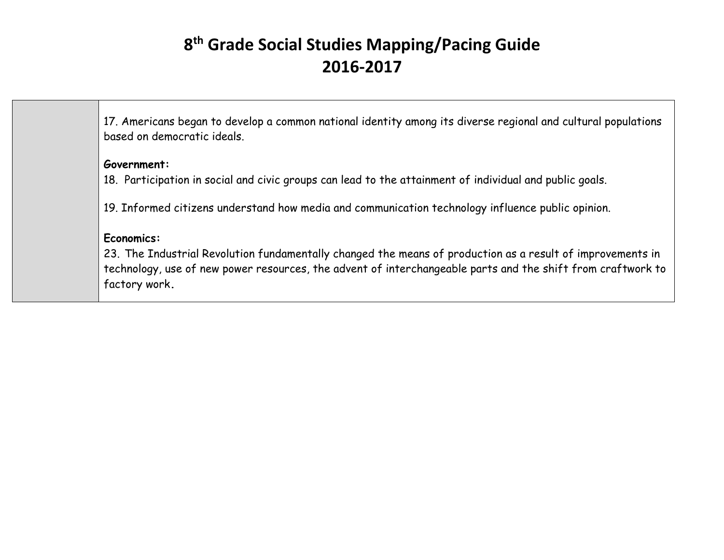17. Americans began to develop a common national identity among its diverse regional and cultural populations based on democratic ideals.

#### **Government:**

18. Participation in social and civic groups can lead to the attainment of individual and public goals.

19. Informed citizens understand how media and communication technology influence public opinion.

#### **Economics:**

23. The Industrial Revolution fundamentally changed the means of production as a result of improvements in technology, use of new power resources, the advent of interchangeable parts and the shift from craftwork to factory work**.**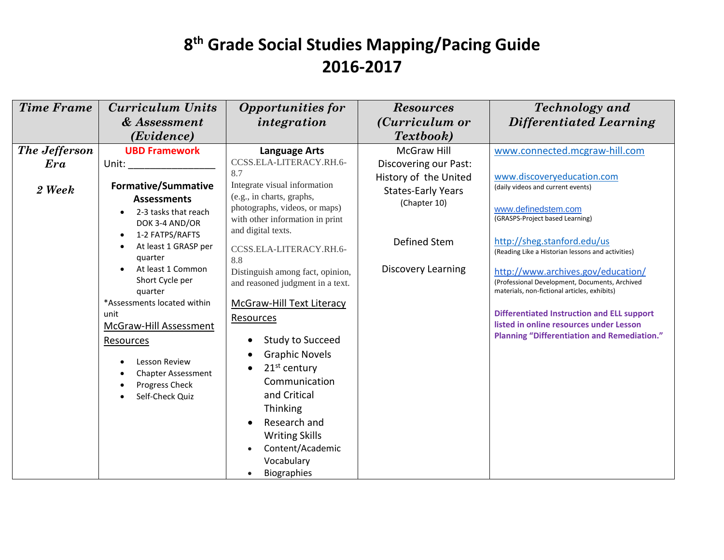| <b>Time Frame</b> | <b>Curriculum Units</b>                                                                                                                                                                                                                                                                                                                                                       | <b>Opportunities for</b>                                                                                                                                                                                                                                                                                                                                                                                                                                                                                               | <b>Resources</b>                                                                                                                         | <b>Technology</b> and                                                                                                                                                                                                                                                                                                                                                                                                                                                                                       |
|-------------------|-------------------------------------------------------------------------------------------------------------------------------------------------------------------------------------------------------------------------------------------------------------------------------------------------------------------------------------------------------------------------------|------------------------------------------------------------------------------------------------------------------------------------------------------------------------------------------------------------------------------------------------------------------------------------------------------------------------------------------------------------------------------------------------------------------------------------------------------------------------------------------------------------------------|------------------------------------------------------------------------------------------------------------------------------------------|-------------------------------------------------------------------------------------------------------------------------------------------------------------------------------------------------------------------------------------------------------------------------------------------------------------------------------------------------------------------------------------------------------------------------------------------------------------------------------------------------------------|
|                   | & Assessment                                                                                                                                                                                                                                                                                                                                                                  | integration                                                                                                                                                                                                                                                                                                                                                                                                                                                                                                            | (Curriculum or                                                                                                                           | <b>Differentiated Learning</b>                                                                                                                                                                                                                                                                                                                                                                                                                                                                              |
|                   | (Evidence)                                                                                                                                                                                                                                                                                                                                                                    |                                                                                                                                                                                                                                                                                                                                                                                                                                                                                                                        | Textbook)                                                                                                                                |                                                                                                                                                                                                                                                                                                                                                                                                                                                                                                             |
| The Jefferson     | <b>UBD Framework</b>                                                                                                                                                                                                                                                                                                                                                          | <b>Language Arts</b>                                                                                                                                                                                                                                                                                                                                                                                                                                                                                                   | <b>McGraw Hill</b>                                                                                                                       | www.connected.mcgraw-hill.com                                                                                                                                                                                                                                                                                                                                                                                                                                                                               |
| Era<br>2 Week     | Unit:<br><b>Formative/Summative</b><br><b>Assessments</b><br>2-3 tasks that reach<br>DOK 3-4 AND/OR<br>1-2 FATPS/RAFTS<br>At least 1 GRASP per<br>quarter<br>At least 1 Common<br>Short Cycle per<br>quarter<br>*Assessments located within<br>unit<br>McGraw-Hill Assessment<br>Resources<br>Lesson Review<br><b>Chapter Assessment</b><br>Progress Check<br>Self-Check Quiz | CCSS.ELA-LITERACY.RH.6-<br>8.7<br>Integrate visual information<br>(e.g., in charts, graphs,<br>photographs, videos, or maps)<br>with other information in print<br>and digital texts.<br>CCSS.ELA-LITERACY.RH.6-<br>8.8<br>Distinguish among fact, opinion,<br>and reasoned judgment in a text.<br>McGraw-Hill Text Literacy<br><b>Resources</b><br><b>Study to Succeed</b><br><b>Graphic Novels</b><br>21 <sup>st</sup> century<br>Communication<br>and Critical<br>Thinking<br>Research and<br><b>Writing Skills</b> | Discovering our Past:<br>History of the United<br><b>States-Early Years</b><br>(Chapter 10)<br>Defined Stem<br><b>Discovery Learning</b> | www.discoveryeducation.com<br>(daily videos and current events)<br>www.definedstem.com<br>(GRASPS-Project based Learning)<br>http://sheg.stanford.edu/us<br>(Reading Like a Historian lessons and activities)<br>http://www.archives.gov/education/<br>(Professional Development, Documents, Archived<br>materials, non-fictional articles, exhibits)<br><b>Differentiated Instruction and ELL support</b><br>listed in online resources under Lesson<br><b>Planning "Differentiation and Remediation."</b> |
|                   |                                                                                                                                                                                                                                                                                                                                                                               | Content/Academic<br>Vocabulary<br><b>Biographies</b>                                                                                                                                                                                                                                                                                                                                                                                                                                                                   |                                                                                                                                          |                                                                                                                                                                                                                                                                                                                                                                                                                                                                                                             |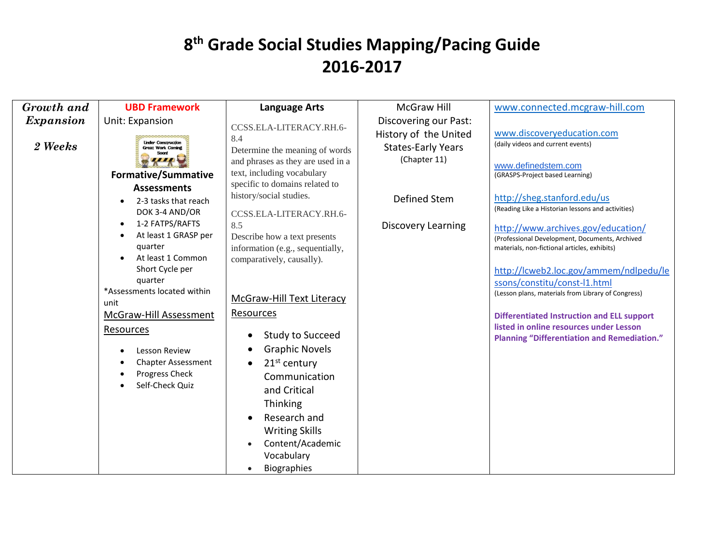| Growth and | <b>UBD Framework</b>                                  | <b>Language Arts</b>                  | <b>McGraw Hill</b>        | www.connected.mcgraw-hill.com                                                        |
|------------|-------------------------------------------------------|---------------------------------------|---------------------------|--------------------------------------------------------------------------------------|
| Expansion  | Unit: Expansion                                       |                                       | Discovering our Past:     |                                                                                      |
|            |                                                       | CCSS.ELA-LITERACY.RH.6-<br>8.4        | History of the United     | www.discoveryeducation.com                                                           |
| 2 Weeks    | <b>Under Construction</b><br><b>Great Work Coming</b> | Determine the meaning of words        | <b>States-Early Years</b> | (daily videos and current events)                                                    |
|            |                                                       | and phrases as they are used in a     | (Chapter 11)              |                                                                                      |
|            | <b>Formative/Summative</b>                            | text, including vocabulary            |                           | www.definedstem.com<br>(GRASPS-Project based Learning)                               |
|            | <b>Assessments</b>                                    | specific to domains related to        |                           |                                                                                      |
|            | 2-3 tasks that reach                                  | history/social studies.               | Defined Stem              | http://sheg.stanford.edu/us                                                          |
|            | DOK 3-4 AND/OR                                        | CCSS.ELA-LITERACY.RH.6-               |                           | (Reading Like a Historian lessons and activities)                                    |
|            | 1-2 FATPS/RAFTS                                       | 8.5                                   | <b>Discovery Learning</b> |                                                                                      |
|            | At least 1 GRASP per                                  | Describe how a text presents          |                           | http://www.archives.gov/education/<br>(Professional Development, Documents, Archived |
|            | quarter                                               | information (e.g., sequentially,      |                           | materials, non-fictional articles, exhibits)                                         |
|            | At least 1 Common                                     | comparatively, causally).             |                           |                                                                                      |
|            | Short Cycle per                                       |                                       |                           | http://lcweb2.loc.gov/ammem/ndlpedu/le                                               |
|            | quarter                                               |                                       |                           | ssons/constitu/const-l1.html                                                         |
|            | *Assessments located within<br>unit                   | <b>McGraw-Hill Text Literacy</b>      |                           | (Lesson plans, materials from Library of Congress)                                   |
|            | <b>McGraw-Hill Assessment</b>                         | Resources                             |                           | <b>Differentiated Instruction and ELL support</b>                                    |
|            |                                                       |                                       |                           | listed in online resources under Lesson                                              |
|            | Resources                                             | <b>Study to Succeed</b><br>$\bullet$  |                           | <b>Planning "Differentiation and Remediation."</b>                                   |
|            | Lesson Review                                         | <b>Graphic Novels</b>                 |                           |                                                                                      |
|            | <b>Chapter Assessment</b>                             | 21 <sup>st</sup> century<br>$\bullet$ |                           |                                                                                      |
|            | Progress Check                                        | Communication                         |                           |                                                                                      |
|            | Self-Check Quiz                                       | and Critical                          |                           |                                                                                      |
|            |                                                       | Thinking                              |                           |                                                                                      |
|            |                                                       | Research and                          |                           |                                                                                      |
|            |                                                       | $\epsilon$                            |                           |                                                                                      |
|            |                                                       | <b>Writing Skills</b>                 |                           |                                                                                      |
|            |                                                       | Content/Academic<br>$\bullet$         |                           |                                                                                      |
|            |                                                       | Vocabulary                            |                           |                                                                                      |
|            |                                                       | <b>Biographies</b><br>$\bullet$       |                           |                                                                                      |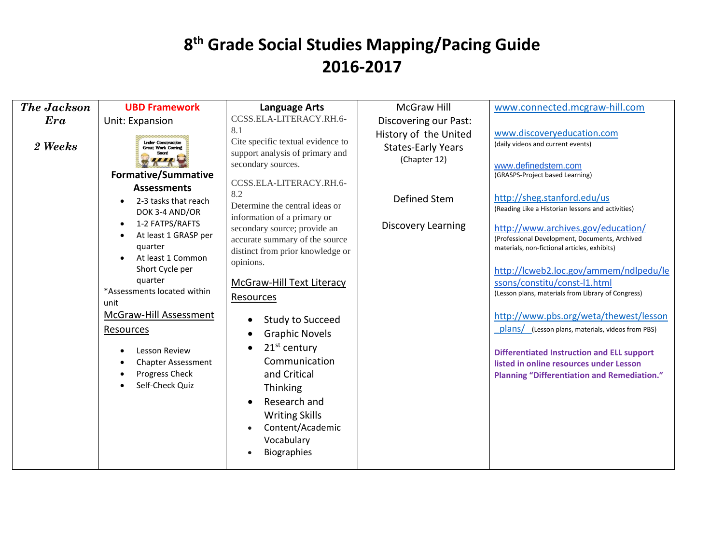| The Jackson | <b>UBD Framework</b>                                                                                                                                                                                                                                                                                                                                     | <b>Language Arts</b>                                                                                                                                                                                                                                                                                                                                                                                                                      | <b>McGraw Hill</b>                                                                                              | www.connected.mcgraw-hill.com                                                                                                                                                                                                                                                                                                                                                                                                                                                                                                                                                        |
|-------------|----------------------------------------------------------------------------------------------------------------------------------------------------------------------------------------------------------------------------------------------------------------------------------------------------------------------------------------------------------|-------------------------------------------------------------------------------------------------------------------------------------------------------------------------------------------------------------------------------------------------------------------------------------------------------------------------------------------------------------------------------------------------------------------------------------------|-----------------------------------------------------------------------------------------------------------------|--------------------------------------------------------------------------------------------------------------------------------------------------------------------------------------------------------------------------------------------------------------------------------------------------------------------------------------------------------------------------------------------------------------------------------------------------------------------------------------------------------------------------------------------------------------------------------------|
| Era         | Unit: Expansion                                                                                                                                                                                                                                                                                                                                          | CCSS.ELA-LITERACY.RH.6-                                                                                                                                                                                                                                                                                                                                                                                                                   | Discovering our Past:                                                                                           |                                                                                                                                                                                                                                                                                                                                                                                                                                                                                                                                                                                      |
| 2 Weeks     | <b>Under Construction</b><br><b>Great Work Coming</b><br>Soon!<br><b>Formative/Summative</b><br><b>Assessments</b><br>2-3 tasks that reach<br>DOK 3-4 AND/OR<br>1-2 FATPS/RAFTS<br>٠<br>At least 1 GRASP per<br>quarter<br>At least 1 Common<br>Short Cycle per<br>quarter<br>*Assessments located within<br>unit<br>McGraw-Hill Assessment<br>Resources | 8.1<br>Cite specific textual evidence to<br>support analysis of primary and<br>secondary sources.<br>CCSS.ELA-LITERACY.RH.6-<br>8.2<br>Determine the central ideas or<br>information of a primary or<br>secondary source; provide an<br>accurate summary of the source<br>distinct from prior knowledge or<br>opinions.<br><b>McGraw-Hill Text Literacy</b><br>Resources<br><b>Study to Succeed</b><br>$\bullet$<br><b>Graphic Novels</b> | History of the United<br><b>States-Early Years</b><br>(Chapter 12)<br>Defined Stem<br><b>Discovery Learning</b> | www.discoveryeducation.com<br>(daily videos and current events)<br>www.definedstem.com<br>(GRASPS-Project based Learning)<br>http://sheg.stanford.edu/us<br>(Reading Like a Historian lessons and activities)<br>http://www.archives.gov/education/<br>(Professional Development, Documents, Archived<br>materials, non-fictional articles, exhibits)<br>http://lcweb2.loc.gov/ammem/ndlpedu/le<br>ssons/constitu/const-l1.html<br>(Lesson plans, materials from Library of Congress)<br>http://www.pbs.org/weta/thewest/lesson<br>plans/ (Lesson plans, materials, videos from PBS) |
|             | Lesson Review<br><b>Chapter Assessment</b><br>Progress Check<br>Self-Check Quiz                                                                                                                                                                                                                                                                          | $21st$ century<br>Communication<br>and Critical<br>Thinking<br>Research and<br><b>Writing Skills</b><br>Content/Academic<br>$\bullet$<br>Vocabulary<br><b>Biographies</b>                                                                                                                                                                                                                                                                 |                                                                                                                 | <b>Differentiated Instruction and ELL support</b><br>listed in online resources under Lesson<br><b>Planning "Differentiation and Remediation."</b>                                                                                                                                                                                                                                                                                                                                                                                                                                   |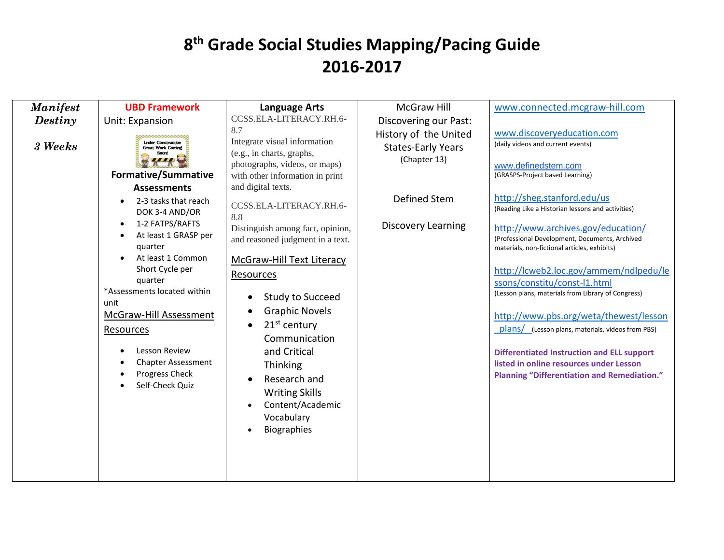| <b>UBD Framework</b>                                                                                                                                                                                                                                                          | <b>Language Arts</b>                                                                                                                                                                                                                                                                                                                                                                                      | McGraw Hill                                                        | www.connected.mcgraw-hill.com                                                                                                                                                                                                                                                                                                                                                                                                                                                                                             |
|-------------------------------------------------------------------------------------------------------------------------------------------------------------------------------------------------------------------------------------------------------------------------------|-----------------------------------------------------------------------------------------------------------------------------------------------------------------------------------------------------------------------------------------------------------------------------------------------------------------------------------------------------------------------------------------------------------|--------------------------------------------------------------------|---------------------------------------------------------------------------------------------------------------------------------------------------------------------------------------------------------------------------------------------------------------------------------------------------------------------------------------------------------------------------------------------------------------------------------------------------------------------------------------------------------------------------|
| Unit: Expansion                                                                                                                                                                                                                                                               | CCSS.ELA-LITERACY.RH.6-                                                                                                                                                                                                                                                                                                                                                                                   | Discovering our Past:                                              |                                                                                                                                                                                                                                                                                                                                                                                                                                                                                                                           |
| <b>Inder Construction</b><br><b>Great Work Coming</b><br><b>Formative/Summative</b>                                                                                                                                                                                           | Integrate visual information<br>(e.g., in charts, graphs,<br>photographs, videos, or maps)<br>with other information in print                                                                                                                                                                                                                                                                             | History of the United<br><b>States-Early Years</b><br>(Chapter 13) | www.discoveryeducation.com<br>(daily videos and current events)<br>www.definedstem.com<br>(GRASPS-Project based Learning)                                                                                                                                                                                                                                                                                                                                                                                                 |
| 2-3 tasks that reach<br>DOK 3-4 AND/OR                                                                                                                                                                                                                                        | CCSS.ELA-LITERACY.RH.6-                                                                                                                                                                                                                                                                                                                                                                                   | Defined Stem                                                       | http://sheg.stanford.edu/us<br>(Reading Like a Historian lessons and activities)                                                                                                                                                                                                                                                                                                                                                                                                                                          |
| 1-2 FATPS/RAFTS<br>At least 1 GRASP per<br>quarter<br>At least 1 Common<br>Short Cycle per<br>quarter<br>*Assessments located within<br>unit<br><b>McGraw-Hill Assessment</b><br>Resources<br>Lesson Review<br><b>Chapter Assessment</b><br>Progress Check<br>Self-Check Quiz | 8.8<br>Distinguish among fact, opinion,<br>and reasoned judgment in a text.<br><b>McGraw-Hill Text Literacy</b><br>Resources<br><b>Study to Succeed</b><br>٠<br><b>Graphic Novels</b><br>$21st$ century<br>$\bullet$<br>Communication<br>and Critical<br>Thinking<br>Research and<br>$\bullet$<br><b>Writing Skills</b><br>Content/Academic<br>$\bullet$<br>Vocabulary<br><b>Biographies</b><br>$\bullet$ | <b>Discovery Learning</b>                                          | http://www.archives.gov/education/<br>(Professional Development, Documents, Archived<br>materials, non-fictional articles, exhibits)<br>http://lcweb2.loc.gov/ammem/ndlpedu/le<br>ssons/constitu/const-l1.html<br>(Lesson plans, materials from Library of Congress)<br>http://www.pbs.org/weta/thewest/lesson<br>plans/ (Lesson plans, materials, videos from PBS)<br><b>Differentiated Instruction and ELL support</b><br>listed in online resources under Lesson<br><b>Planning "Differentiation and Remediation."</b> |
|                                                                                                                                                                                                                                                                               | <b>Assessments</b>                                                                                                                                                                                                                                                                                                                                                                                        | 8.7<br>and digital texts.                                          |                                                                                                                                                                                                                                                                                                                                                                                                                                                                                                                           |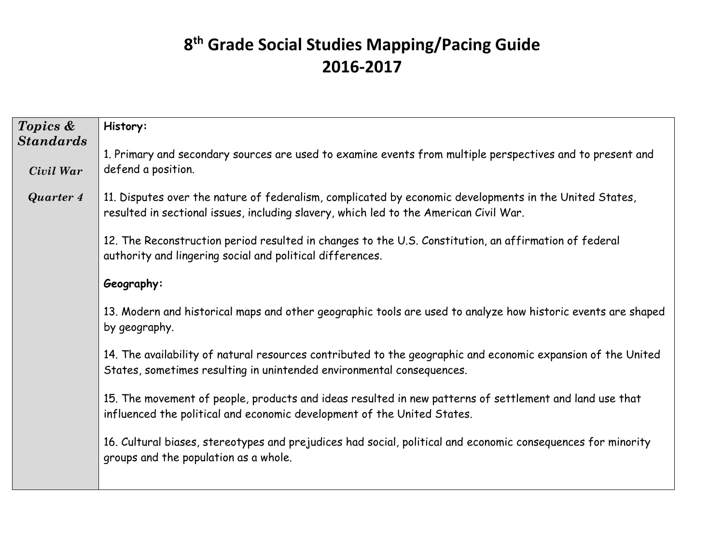| Topics &                      | History:                                                                                                                                                                                        |
|-------------------------------|-------------------------------------------------------------------------------------------------------------------------------------------------------------------------------------------------|
| <b>Standards</b><br>Civil War | 1. Primary and secondary sources are used to examine events from multiple perspectives and to present and<br>defend a position.                                                                 |
| Quarter 4                     | 11. Disputes over the nature of federalism, complicated by economic developments in the United States,<br>resulted in sectional issues, including slavery, which led to the American Civil War. |
|                               | 12. The Reconstruction period resulted in changes to the U.S. Constitution, an affirmation of federal<br>authority and lingering social and political differences.                              |
|                               | Geography:                                                                                                                                                                                      |
|                               | 13. Modern and historical maps and other geographic tools are used to analyze how historic events are shaped<br>by geography.                                                                   |
|                               | 14. The availability of natural resources contributed to the geographic and economic expansion of the United<br>States, sometimes resulting in unintended environmental consequences.           |
|                               | 15. The movement of people, products and ideas resulted in new patterns of settlement and land use that<br>influenced the political and economic development of the United States.              |
|                               | 16. Cultural biases, stereotypes and prejudices had social, political and economic consequences for minority<br>groups and the population as a whole.                                           |
|                               |                                                                                                                                                                                                 |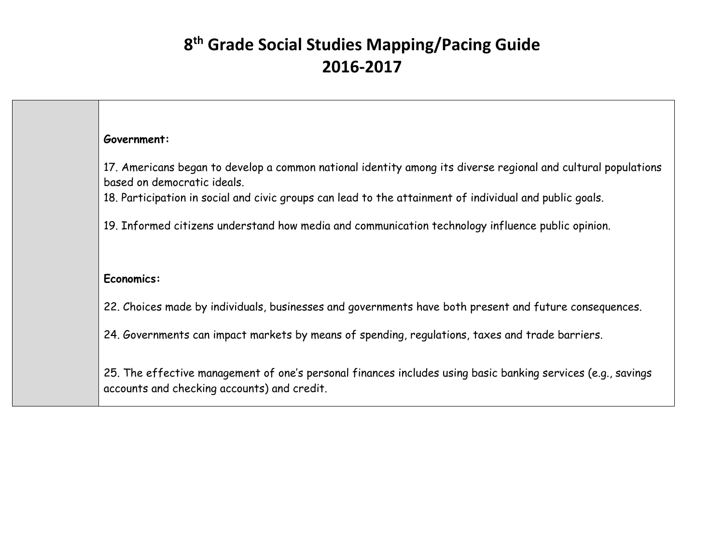#### **Government:**

17. Americans began to develop a common national identity among its diverse regional and cultural populations based on democratic ideals.

18. Participation in social and civic groups can lead to the attainment of individual and public goals.

19. Informed citizens understand how media and communication technology influence public opinion.

#### **Economics:**

22. Choices made by individuals, businesses and governments have both present and future consequences.

24. Governments can impact markets by means of spending, regulations, taxes and trade barriers.

25. The effective management of one's personal finances includes using basic banking services (e.g., savings accounts and checking accounts) and credit.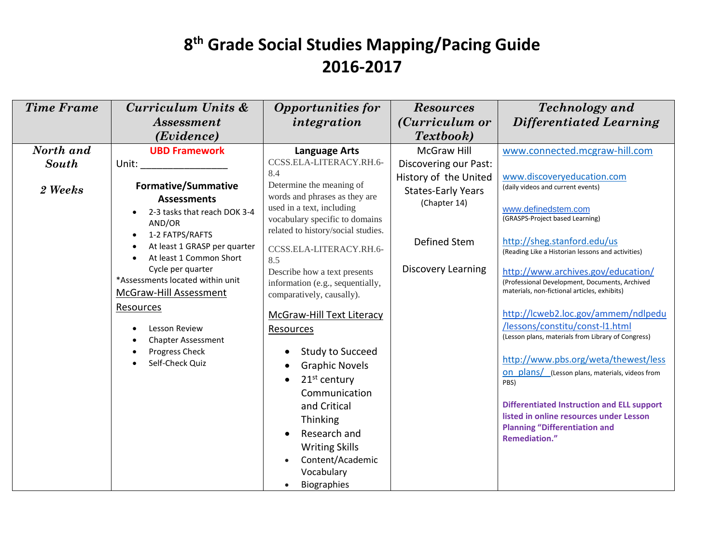| <b>Time Frame</b> | Curriculum Units &                               | <b>Opportunities for</b>                                         | <b>Resources</b>          | <b>Technology</b> and                                                                 |
|-------------------|--------------------------------------------------|------------------------------------------------------------------|---------------------------|---------------------------------------------------------------------------------------|
|                   | <b>Assessment</b>                                | integration                                                      | (Curriculum or            | Differentiated Learning                                                               |
|                   | (Evidence)                                       |                                                                  | <b>Textbook</b> )         |                                                                                       |
| North and         | <b>UBD Framework</b>                             | <b>Language Arts</b>                                             | <b>McGraw Hill</b>        | www.connected.mcgraw-hill.com                                                         |
| <b>South</b>      | Unit:                                            | CCSS.ELA-LITERACY.RH.6-                                          | Discovering our Past:     |                                                                                       |
|                   |                                                  | 8.4<br>Determine the meaning of                                  | History of the United     | www.discoveryeducation.com                                                            |
| 2 Weeks           | <b>Formative/Summative</b><br><b>Assessments</b> | words and phrases as they are                                    | <b>States-Early Years</b> | (daily videos and current events)                                                     |
|                   | 2-3 tasks that reach DOK 3-4                     | used in a text, including                                        | (Chapter 14)              | www.definedstem.com                                                                   |
|                   | AND/OR                                           | vocabulary specific to domains                                   |                           | (GRASPS-Project based Learning)                                                       |
|                   | 1-2 FATPS/RAFTS                                  | related to history/social studies.                               |                           |                                                                                       |
|                   | At least 1 GRASP per quarter                     | CCSS.ELA-LITERACY.RH.6-                                          | <b>Defined Stem</b>       | http://sheg.stanford.edu/us<br>(Reading Like a Historian lessons and activities)      |
|                   | At least 1 Common Short<br>Cycle per quarter     | 8.5                                                              |                           |                                                                                       |
|                   | *Assessments located within unit                 | Describe how a text presents<br>information (e.g., sequentially, | <b>Discovery Learning</b> | http://www.archives.gov/education/<br>(Professional Development, Documents, Archived  |
|                   | McGraw-Hill Assessment                           | comparatively, causally).                                        |                           | materials, non-fictional articles, exhibits)                                          |
|                   | Resources                                        |                                                                  |                           |                                                                                       |
|                   |                                                  | <b>McGraw-Hill Text Literacy</b>                                 |                           | http://lcweb2.loc.gov/ammem/ndlpedu                                                   |
|                   | Lesson Review                                    | Resources                                                        |                           | /lessons/constitu/const-l1.html<br>(Lesson plans, materials from Library of Congress) |
|                   | <b>Chapter Assessment</b><br>Progress Check      | <b>Study to Succeed</b>                                          |                           |                                                                                       |
|                   | Self-Check Quiz                                  | <b>Graphic Novels</b>                                            |                           | http://www.pbs.org/weta/thewest/less                                                  |
|                   |                                                  | 21 <sup>st</sup> century<br>$\bullet$                            |                           | <b>on</b> plans/ (Lesson plans, materials, videos from                                |
|                   |                                                  | Communication                                                    |                           | PBS)                                                                                  |
|                   |                                                  | and Critical                                                     |                           | <b>Differentiated Instruction and ELL support</b>                                     |
|                   |                                                  | Thinking                                                         |                           | listed in online resources under Lesson                                               |
|                   |                                                  | Research and                                                     |                           | <b>Planning "Differentiation and</b>                                                  |
|                   |                                                  | <b>Writing Skills</b>                                            |                           | Remediation."                                                                         |
|                   |                                                  | Content/Academic                                                 |                           |                                                                                       |
|                   |                                                  | Vocabulary                                                       |                           |                                                                                       |
|                   |                                                  | Biographies                                                      |                           |                                                                                       |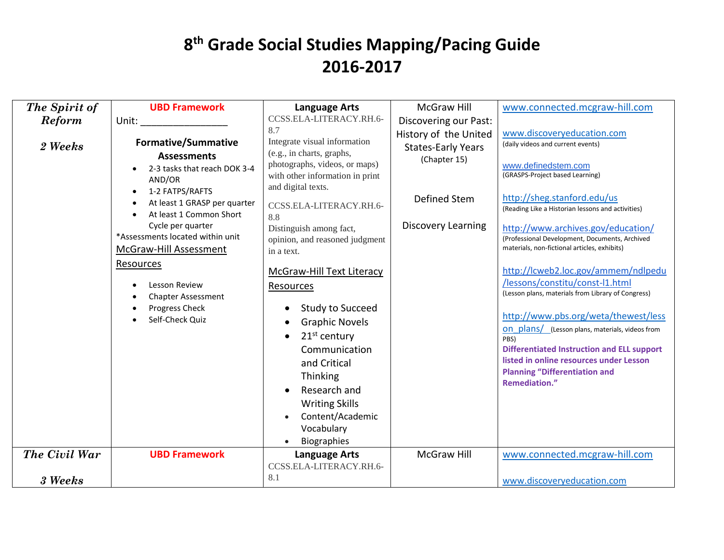| The Spirit of | <b>UBD Framework</b>                                                                                                                                                                                                                                                                                                                                                     | <b>Language Arts</b>                                                                                                                                                                                                                                                                                                                                                                                                                                                                                                                                 | <b>McGraw Hill</b>                                                                                                     | www.connected.mcgraw-hill.com                                                                                                                                                                                                                                                                                                                                                                                                                                                                                                                                                                                                                                                                                                                     |
|---------------|--------------------------------------------------------------------------------------------------------------------------------------------------------------------------------------------------------------------------------------------------------------------------------------------------------------------------------------------------------------------------|------------------------------------------------------------------------------------------------------------------------------------------------------------------------------------------------------------------------------------------------------------------------------------------------------------------------------------------------------------------------------------------------------------------------------------------------------------------------------------------------------------------------------------------------------|------------------------------------------------------------------------------------------------------------------------|---------------------------------------------------------------------------------------------------------------------------------------------------------------------------------------------------------------------------------------------------------------------------------------------------------------------------------------------------------------------------------------------------------------------------------------------------------------------------------------------------------------------------------------------------------------------------------------------------------------------------------------------------------------------------------------------------------------------------------------------------|
| <b>Reform</b> | Unit: and the contract of the contract of the contract of the contract of the contract of the contract of the contract of the contract of the contract of the contract of the contract of the contract of the contract of the                                                                                                                                            | CCSS.ELA-LITERACY.RH.6-                                                                                                                                                                                                                                                                                                                                                                                                                                                                                                                              | Discovering our Past:                                                                                                  |                                                                                                                                                                                                                                                                                                                                                                                                                                                                                                                                                                                                                                                                                                                                                   |
| 2 Weeks       | <b>Formative/Summative</b><br><b>Assessments</b><br>2-3 tasks that reach DOK 3-4<br>AND/OR<br>1-2 FATPS/RAFTS<br>$\bullet$<br>At least 1 GRASP per quarter<br>At least 1 Common Short<br>Cycle per quarter<br>*Assessments located within unit<br>McGraw-Hill Assessment<br>Resources<br>Lesson Review<br><b>Chapter Assessment</b><br>Progress Check<br>Self-Check Quiz | 8.7<br>Integrate visual information<br>(e.g., in charts, graphs,<br>photographs, videos, or maps)<br>with other information in print<br>and digital texts.<br>CCSS.ELA-LITERACY.RH.6-<br>8.8<br>Distinguish among fact,<br>opinion, and reasoned judgment<br>in a text.<br><b>McGraw-Hill Text Literacy</b><br><b>Resources</b><br><b>Study to Succeed</b><br><b>Graphic Novels</b><br>21 <sup>st</sup> century<br>$\bullet$<br>Communication<br>and Critical<br>Thinking<br>Research and<br><b>Writing Skills</b><br>Content/Academic<br>Vocabulary | History of the United<br><b>States-Early Years</b><br>(Chapter 15)<br><b>Defined Stem</b><br><b>Discovery Learning</b> | www.discoveryeducation.com<br>(daily videos and current events)<br>www.definedstem.com<br>(GRASPS-Project based Learning)<br>http://sheg.stanford.edu/us<br>(Reading Like a Historian lessons and activities)<br>http://www.archives.gov/education/<br>(Professional Development, Documents, Archived<br>materials, non-fictional articles, exhibits)<br>http://lcweb2.loc.gov/ammem/ndlpedu<br>/lessons/constitu/const-l1.html<br>(Lesson plans, materials from Library of Congress)<br>http://www.pbs.org/weta/thewest/less<br>ON plans/ (Lesson plans, materials, videos from<br>PBS)<br><b>Differentiated Instruction and ELL support</b><br>listed in online resources under Lesson<br><b>Planning "Differentiation and</b><br>Remediation." |
|               |                                                                                                                                                                                                                                                                                                                                                                          | Biographies                                                                                                                                                                                                                                                                                                                                                                                                                                                                                                                                          |                                                                                                                        |                                                                                                                                                                                                                                                                                                                                                                                                                                                                                                                                                                                                                                                                                                                                                   |
| The Civil War | <b>UBD Framework</b>                                                                                                                                                                                                                                                                                                                                                     | <b>Language Arts</b>                                                                                                                                                                                                                                                                                                                                                                                                                                                                                                                                 | <b>McGraw Hill</b>                                                                                                     | www.connected.mcgraw-hill.com                                                                                                                                                                                                                                                                                                                                                                                                                                                                                                                                                                                                                                                                                                                     |
| 3 Weeks       |                                                                                                                                                                                                                                                                                                                                                                          | CCSS.ELA-LITERACY.RH.6-<br>8.1                                                                                                                                                                                                                                                                                                                                                                                                                                                                                                                       |                                                                                                                        | www.discoveryeducation.com                                                                                                                                                                                                                                                                                                                                                                                                                                                                                                                                                                                                                                                                                                                        |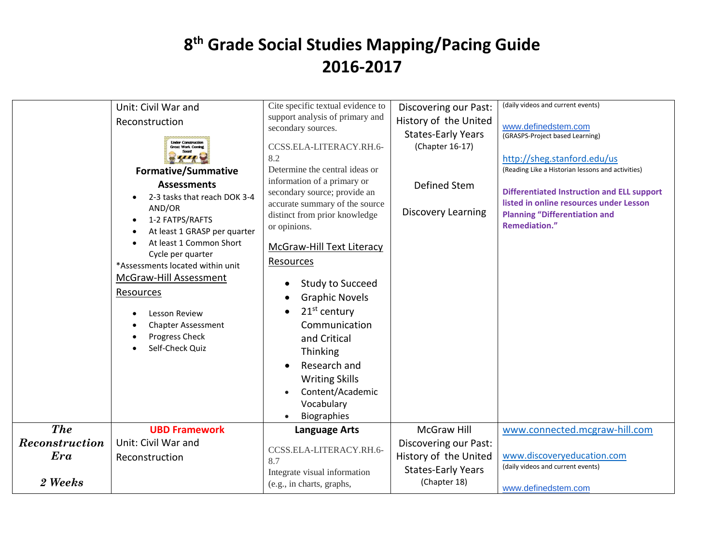|                | Unit: Civil War and<br>Reconstruction<br><b>Under Construction</b><br><b>Great Work Coming</b><br><b>Formative/Summative</b><br><b>Assessments</b><br>2-3 tasks that reach DOK 3-4<br>AND/OR<br>1-2 FATPS/RAFTS<br>$\bullet$<br>At least 1 GRASP per quarter<br>At least 1 Common Short | Cite specific textual evidence to<br>support analysis of primary and<br>secondary sources.<br>CCSS.ELA-LITERACY.RH.6-<br>8.2<br>Determine the central ideas or<br>information of a primary or<br>secondary source; provide an<br>accurate summary of the source<br>distinct from prior knowledge<br>or opinions. | <b>Discovering our Past:</b><br>History of the United<br><b>States-Early Years</b><br>(Chapter 16-17)<br><b>Defined Stem</b><br><b>Discovery Learning</b> | (daily videos and current events)<br>www.definedstem.com<br>(GRASPS-Project based Learning)<br>http://sheg.stanford.edu/us<br>(Reading Like a Historian lessons and activities)<br><b>Differentiated Instruction and ELL support</b><br>listed in online resources under Lesson<br><b>Planning "Differentiation and</b><br>Remediation." |
|----------------|-----------------------------------------------------------------------------------------------------------------------------------------------------------------------------------------------------------------------------------------------------------------------------------------|------------------------------------------------------------------------------------------------------------------------------------------------------------------------------------------------------------------------------------------------------------------------------------------------------------------|-----------------------------------------------------------------------------------------------------------------------------------------------------------|------------------------------------------------------------------------------------------------------------------------------------------------------------------------------------------------------------------------------------------------------------------------------------------------------------------------------------------|
|                | Cycle per quarter<br>*Assessments located within unit<br><b>McGraw-Hill Assessment</b><br>Resources<br>Lesson Review<br><b>Chapter Assessment</b><br>Progress Check<br>Self-Check Quiz                                                                                                  | McGraw-Hill Text Literacy<br>Resources<br><b>Study to Succeed</b><br><b>Graphic Novels</b><br>21 <sup>st</sup> century<br>$\bullet$<br>Communication<br>and Critical<br>Thinking<br>Research and<br><b>Writing Skills</b><br>Content/Academic<br>Vocabulary<br><b>Biographies</b>                                |                                                                                                                                                           |                                                                                                                                                                                                                                                                                                                                          |
| <b>The</b>     | <b>UBD Framework</b>                                                                                                                                                                                                                                                                    | <b>Language Arts</b>                                                                                                                                                                                                                                                                                             | McGraw Hill                                                                                                                                               | www.connected.mcgraw-hill.com                                                                                                                                                                                                                                                                                                            |
| Reconstruction | Unit: Civil War and                                                                                                                                                                                                                                                                     | CCSS.ELA-LITERACY.RH.6-                                                                                                                                                                                                                                                                                          | Discovering our Past:                                                                                                                                     |                                                                                                                                                                                                                                                                                                                                          |
| Era            | Reconstruction                                                                                                                                                                                                                                                                          | 8.7                                                                                                                                                                                                                                                                                                              | History of the United                                                                                                                                     | www.discoveryeducation.com<br>(daily videos and current events)                                                                                                                                                                                                                                                                          |
| 2 Weeks        |                                                                                                                                                                                                                                                                                         | Integrate visual information<br>(e.g., in charts, graphs,                                                                                                                                                                                                                                                        | <b>States-Early Years</b><br>(Chapter 18)                                                                                                                 | www.definedstem.com                                                                                                                                                                                                                                                                                                                      |